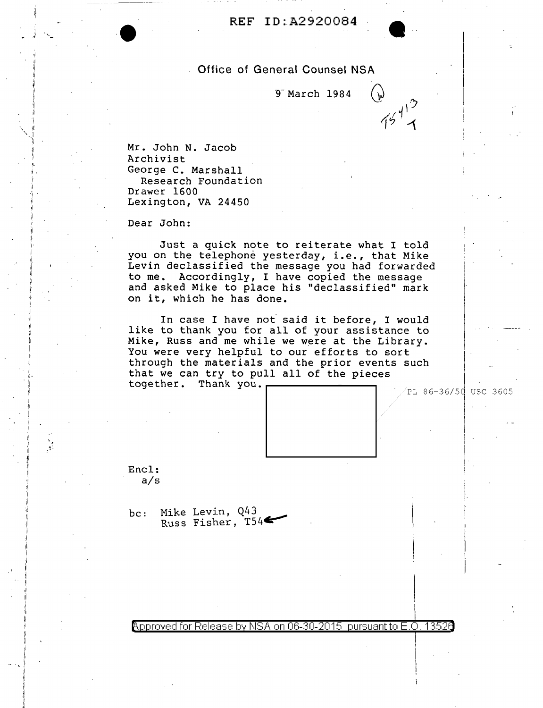## **Office of General Counsel NSA**

9 March 1984

 $75^{413}$ 

Mr. John N. Jacob Archivist George C. Marshall Research Foundation Drawer 1600 Lexington, VA 24450

Dear John:

Just a quick note to reiterate what I told you on the telephone yesterday, i.e., that Mike Levin declassified the message you had forwarded to me. Accordingly, I have copied the message and asked Mike to place his "declassified" mark on it, which he has done.

In case I have not said it before, I would like to thank you for all of your assistance to<br>Mike, Russ and me while we were at the Library. You were very helpful to our efforts to sort through the materials and the prior events such that we can try to pull all of the pieces together. Thank you.

 $\mathrm{PL}$  86-36/50 USC 3605



Encl:  $a/s$ 

 $\frac{3}{3}$ 

Mike Levin, Q43  $bc:$ Russ Fisher,  $T54$ 

Approved for Release by NSA on 06-30-2015 pursuant to E.O. 13526